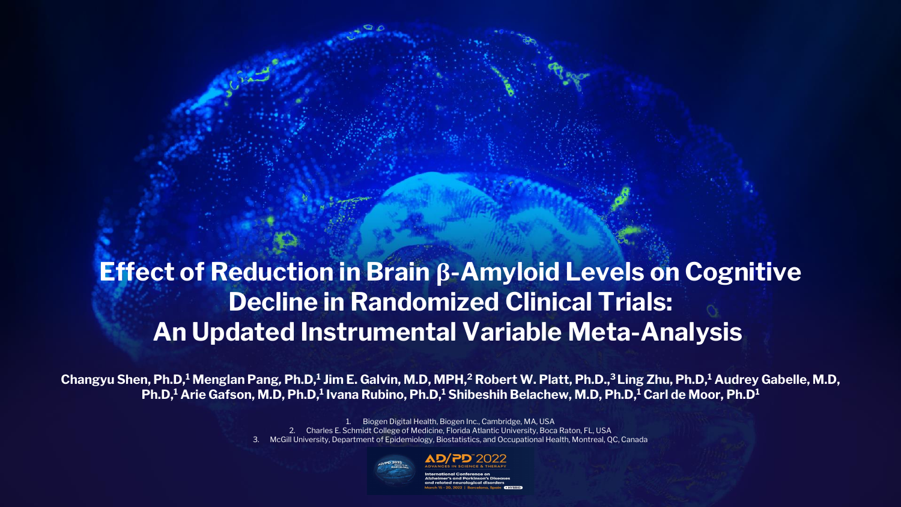# **Effect of Reduction in Brain β-Amyloid Levels on Cognitive Decline in Randomized Clinical Trials: An Updated Instrumental Variable Meta-Analysis**

1. Biogen Digital Health, Biogen Inc., Cambridge, MA, USA 2. Charles E. Schmidt College of Medicine, Florida Atlantic University, Boca Raton, FL, USA 3. McGill University, Department of Epidemiology, Biostatistics, and Occupational Health, Montreal, QC, Canada





**Changyu Shen, Ph.D,<sup>1</sup> Menglan Pang***,* **Ph.D,<sup>1</sup> Jim E. Galvin, M.D, MPH,<sup>2</sup> Robert W. Platt, Ph.D.,<sup>3</sup>Ling Zhu, Ph.D, <sup>1</sup> Audrey Gabelle, M.D, Ph.D,<sup>1</sup> Arie Gafson, M.D, Ph.D,<sup>1</sup> Ivana Rubino, Ph.D,<sup>1</sup> Shibeshih Belachew, M.D, Ph.D, <sup>1</sup> Carl de Moor, Ph.D<sup>1</sup>**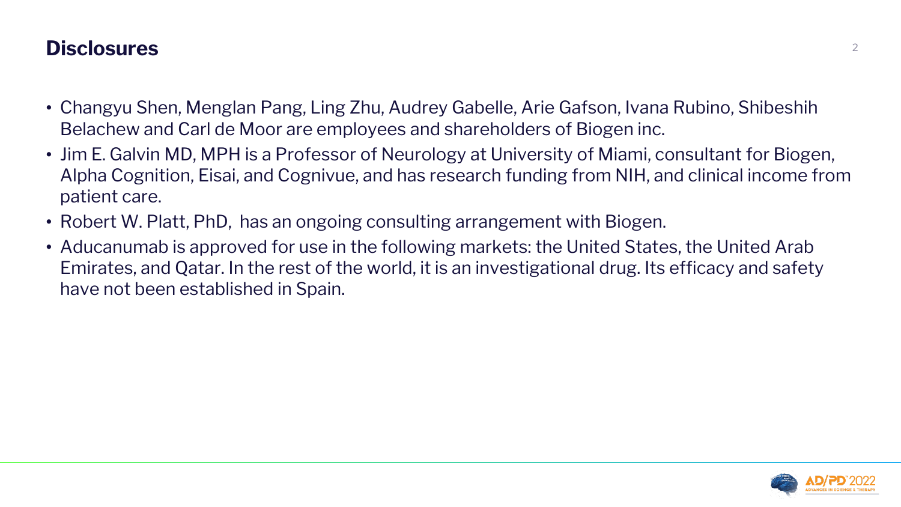### **Disclosures** <sup>2</sup>

- Changyu Shen, Menglan Pang, Ling Zhu, Audrey Gabelle, Arie Gafson, Ivana Rubino, Shibeshih Belachew and Carl de Moor are employees and shareholders of Biogen inc.
- Jim E. Galvin MD, MPH is a Professor of Neurology at University of Miami, consultant for Biogen, Alpha Cognition, Eisai, and Cognivue, and has research funding from NIH, and clinical income from patient care.
- Robert W. Platt, PhD, has an ongoing consulting arrangement with Biogen.
- Aducanumab is approved for use in the following markets: the United States, the United Arab Emirates, and Qatar. In the rest of the world, it is an investigational drug. Its efficacy and safety have not been established in Spain.

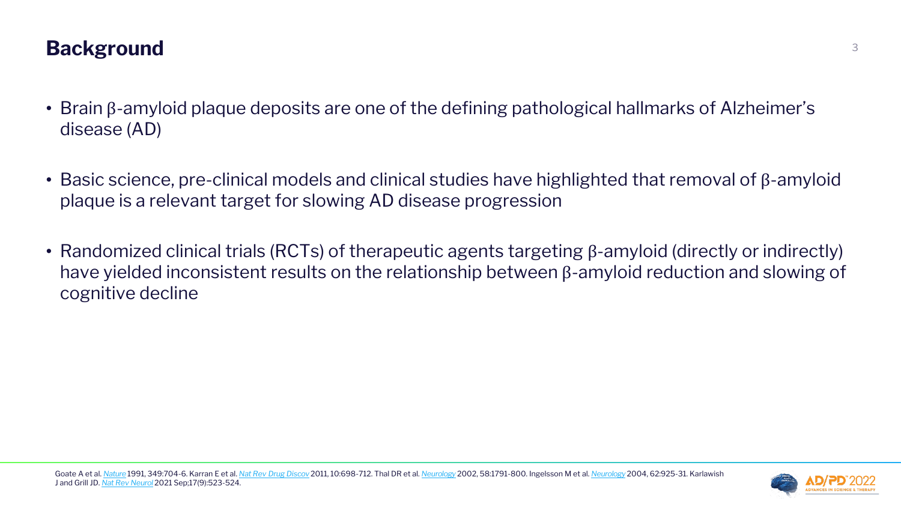# **Background** 3

- Brain β-amyloid plaque deposits are one of the defining pathological hallmarks of Alzheimer's disease (AD)
- Basic science, pre-clinical models and clinical studies have highlighted that removal of β-amyloid plaque is a relevant target for slowing AD disease progression
- Randomized clinical trials (RCTs) of therapeutic agents targeting β-amyloid (directly or indirectly) have yielded inconsistent results on the relationship between β-amyloid reduction and slowing of cognitive decline

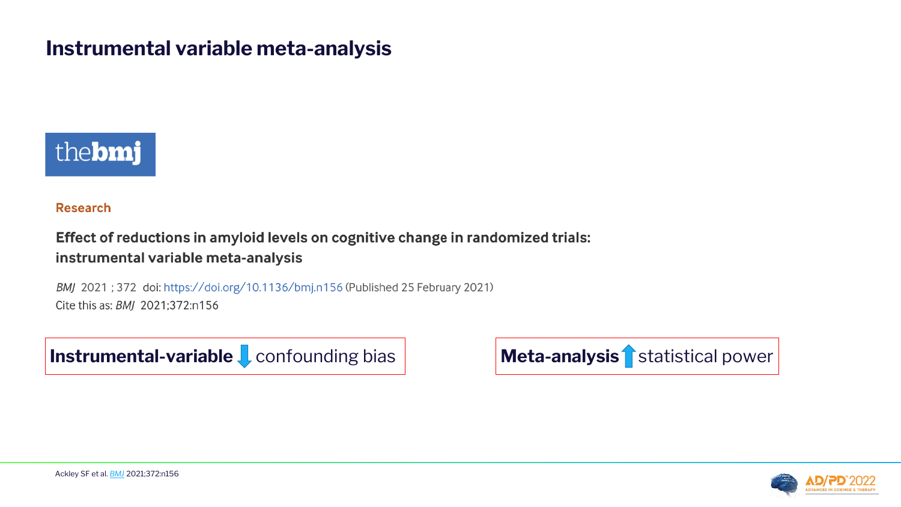### **Instrumental variable meta-analysis**



#### **Research**

#### Effect of reductions in amyloid levels on cognitive change in randomized trials: instrumental variable meta-analysis

BMJ 2021; 372 doi: https://doi.org/10.1136/bmj.n156 (Published 25 February 2021) Cite this as: BMJ 2021;372:n156

**Instrumental-variable L** confounding bias **Meta-analysis** statistical power

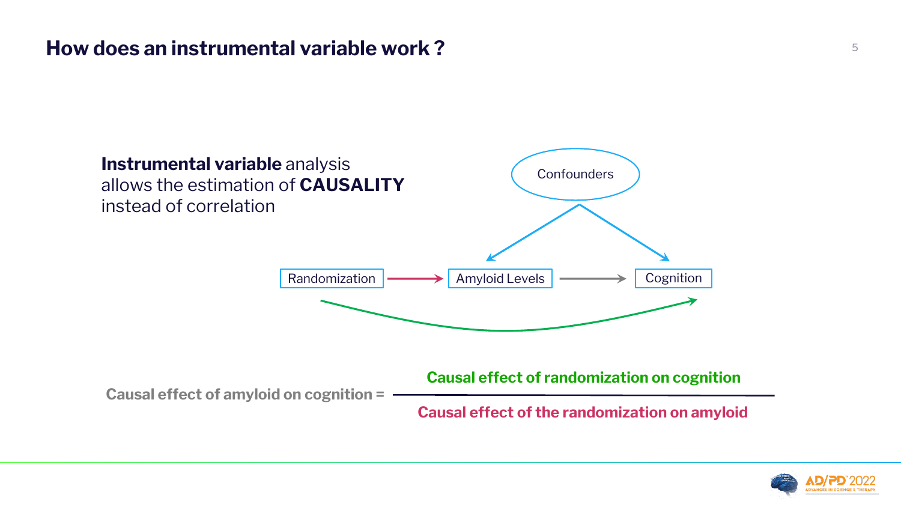### **How does an instrumental variable work ?** <sup>5</sup>



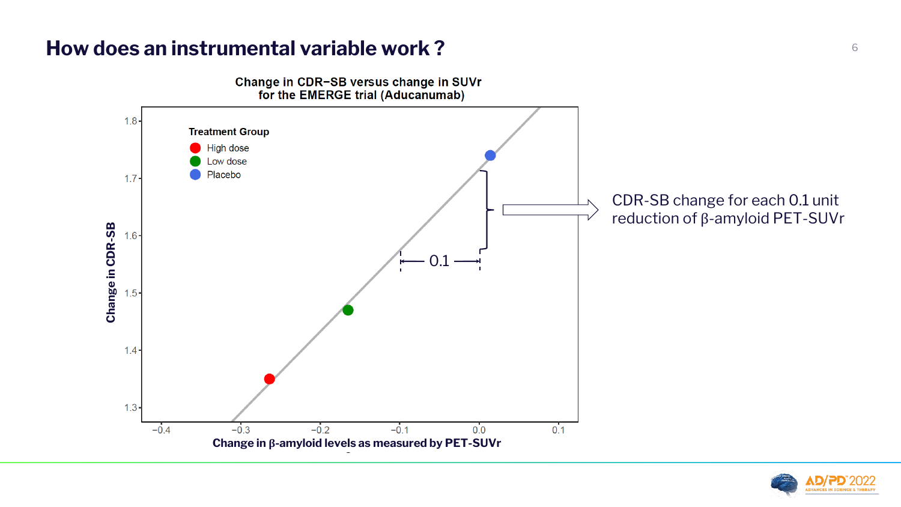### **How does an instrumental variable work ?** And the set of  $\frac{6}{6}$

Change in CDR-SB versus change in SUVr for the EMERGE trial (Aducanumab)



### CDR-SB change for each 0.1 unit reduction of β-amyloid PET-SUVr

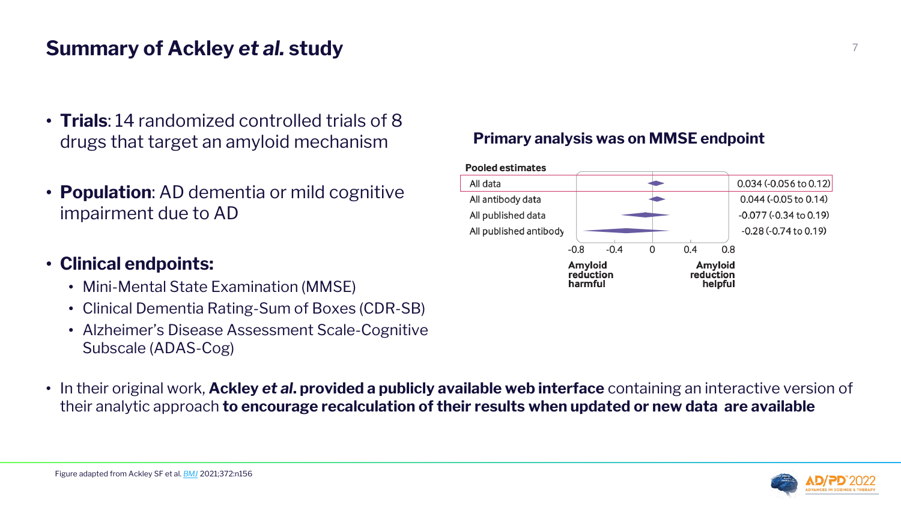# **Summary of Ackley** *et al.* **study** <sup>7</sup>

- **Trials**: 14 randomized controlled trials of 8 drugs that target an amyloid mechanism
- **Population**: AD dementia or mild cognitive impairment due to AD
- **Clinical endpoints:**
	- Mini-Mental State Examination (MMSE)
	- Clinical Dementia Rating-Sum of Boxes (CDR-SB)
	- Alzheimer's Disease Assessment Scale-Cognitive Subscale (ADAS-Cog)
- In their original work, **Ackley** *et al***. provided a publicly available web interface** containing an interactive version of their analytic approach **to encourage recalculation of their results when updated or new data are available**

| <b>Pooled estimates</b> |
|-------------------------|
| All data                |
| All antibody data       |
| All published data      |
| All published antibod   |

#### **Primary analysis was on MMSE endpoint**



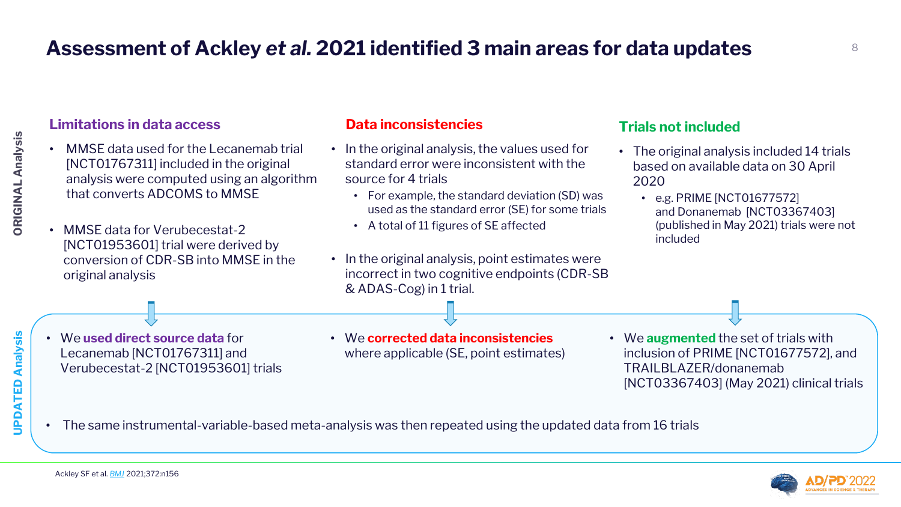# **Assessment of Ackley** *et al.* **2021 identified 3 main areas for data updates** <sup>8</sup>



#### **Data inconsistencies**

- In the original analysis, the values used for standard error were inconsistent with the source for 4 trials
	- For example, the standard deviation (SD) was used as the standard error (SE) for some trials
	- A total of 11 figures of SE affected
- In the original analysis, point estimates were incorrect in two cognitive endpoints (CDR-SB & ADAS-Cog) in 1 trial.
- We **corrected data inconsistencies**  where applicable (SE, point estimates)
- MMSE data used for the Lecanemab trial [NCT01767311] included in the original analysis were computed using an algorithm that converts ADCOMS to MMSE
- MMSE data for Verubecestat-2 [NCT01953601] trial were derived by conversion of CDR-SB into MMSE in the original analysis

#### **Limitations in data access**

Ackley SF et al. *[BMJ](https://www.bmj.com/content/372/bmj.n156)* 2021;372:n156

• The same instrumental-variable-based meta-analysis was then repeated using the updated data from 16 trials

**UPDATED Analysis**

UPDATED

Analysis

• We **used direct source data** for Lecanemab [NCT01767311] and Verubecestat-2 [NCT01953601] trials



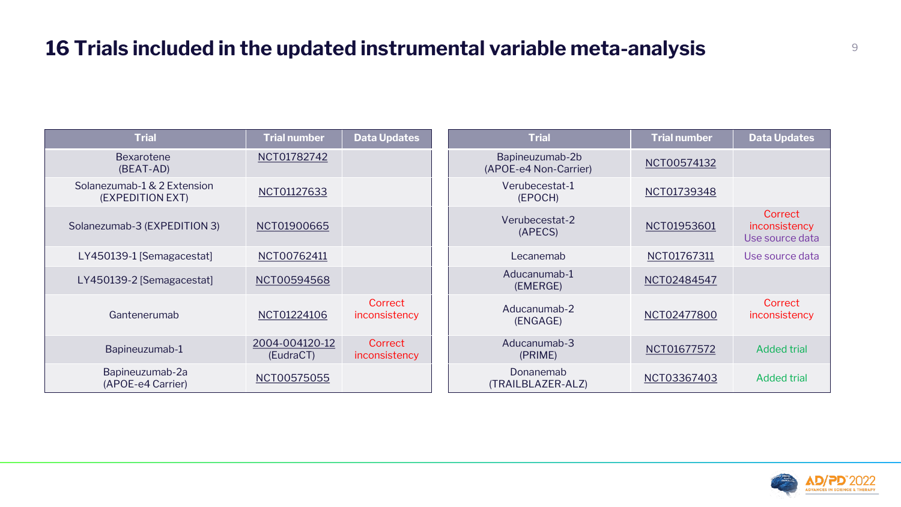| <b>Trial</b>                                    | <b>Trial number</b>         | <b>Data Updates</b>      | <b>Trial</b>                             | <b>Trial number</b> | <b>Data Updates</b>                         |
|-------------------------------------------------|-----------------------------|--------------------------|------------------------------------------|---------------------|---------------------------------------------|
| Bexarotene<br>(BEAT-AD)                         | NCT01782742                 |                          | Bapineuzumab-2b<br>(APOE-e4 Non-Carrier) | NCT00574132         |                                             |
| Solanezumab-1 & 2 Extension<br>(EXPEDITION EXT) | NCT01127633                 |                          | Verubecestat-1<br>(EPOCH)                | NCT01739348         |                                             |
| Solanezumab-3 (EXPEDITION 3)                    | NCT01900665                 |                          | Verubecestat-2<br>(APECS)                | NCT01953601         | Correct<br>inconsistency<br>Use source data |
| LY450139-1 [Semagacestat]                       | NCT00762411                 |                          | Lecanemab                                | NCT01767311         | Use source data                             |
| LY450139-2 [Semagacestat]                       | NCT00594568                 |                          | Aducanumab-1<br>(EMERGE)                 | NCT02484547         |                                             |
| Gantenerumab                                    | NCT01224106                 | Correct<br>inconsistency | Aducanumab-2<br>(ENGAGE)                 | NCT02477800         | Correct<br>inconsistency                    |
| Bapineuzumab-1                                  | 2004-004120-12<br>(EudraCT) | Correct<br>inconsistency | Aducanumab-3<br>(PRIME)                  | NCT01677572         | <b>Added trial</b>                          |
| Bapineuzumab-2a<br>(APOE-e4 Carrier)            | NCT00575055                 |                          | Donanemab<br>(TRAILBLAZER-ALZ)           | NCT03367403         | <b>Added trial</b>                          |



## **16 Trials included in the updated instrumental variable meta-analysis**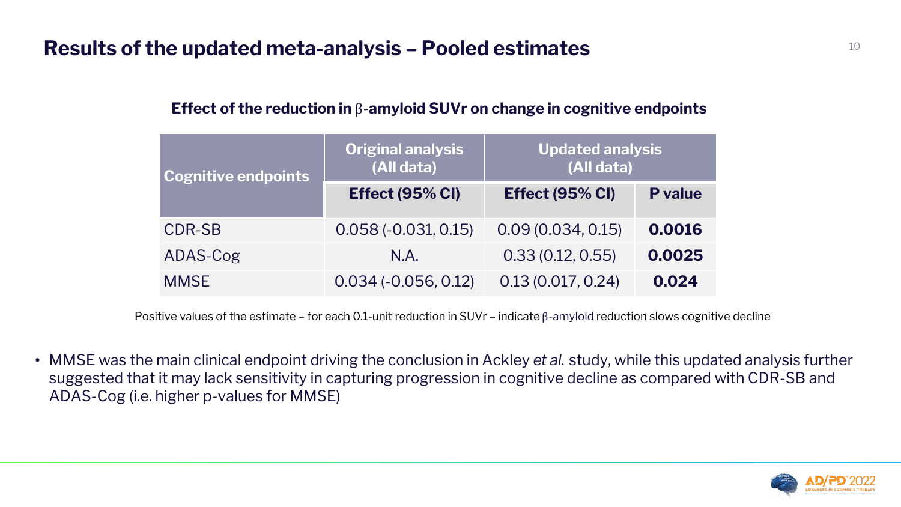### **Results of the updated meta-analysis – Pooled estimates**

### **Effect of the reduction in** β-**amyloid SUVr on change in cognitive endpoints**

• MMSE was the main clinical endpoint driving the conclusion in Ackley *et al.* study, while this updated analysis further suggested that it may lack sensitivity in capturing progression in cognitive decline as compared with CDR-SB and ADAS-Cog (i.e. higher p-values for MMSE)



| Cognitive endpoints | <b>Original analysis</b><br>(All data) | <b>Updated analysis</b><br>(All data) |                |  |  |
|---------------------|----------------------------------------|---------------------------------------|----------------|--|--|
|                     | Effect (95% CI)                        | Effect (95% CI)                       | <b>P</b> value |  |  |
| <b>CDR-SB</b>       | $0.058(-0.031, 0.15)$                  | 0.09(0.034, 0.15)                     | 0.0016         |  |  |
| ADAS-Cog            | N.A.                                   | 0.33(0.12, 0.55)                      | 0.0025         |  |  |
| <b>MMSE</b>         | $0.034 (-0.056, 0.12)$                 | 0.13(0.017, 0.24)                     | 0.024          |  |  |

Positive values of the estimate – for each 0.1-unit reduction in SUVr – indicate β-amyloid reduction slows cognitive decline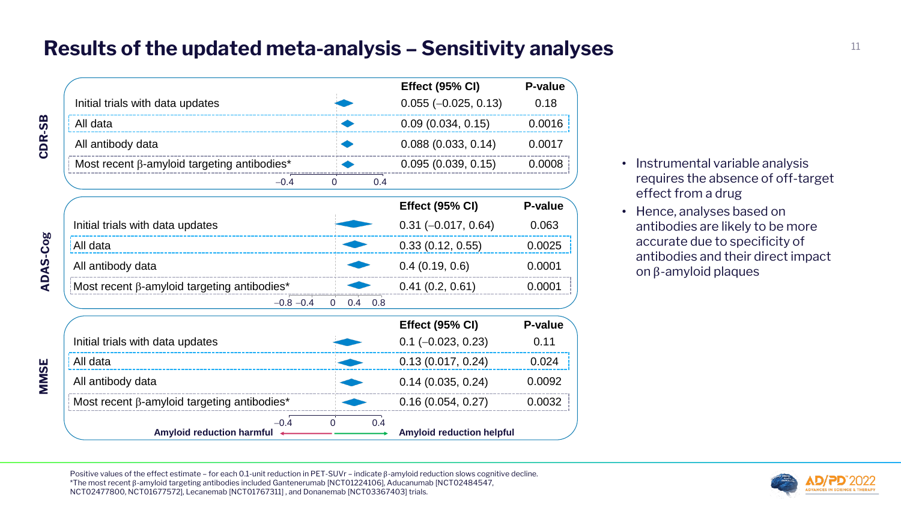Positive values of the effect estimate – for each 0.1-unit reduction in PET-SUVr – indicate β-amyloid reduction slows cognitive decline. \*The most recent β-amyloid targeting antibodies included Gantenerumab [NCT01224106], Aducanumab [NCT02484547, NCT02477800, NCT01677572], Lecanemab [NCT01767311] , and Donanemab [NCT03367403] trials.

- Instrumental variable analysis requires the absence of off-target effect from a drug
- Hence, analyses based on antibodies are likely to be more accurate due to specificity of antibodies and their direct impact on β-amyloid plaques



# Results of the updated meta-analysis – Sensitivity analyses **parallely in the Constant of the Constant of Constant Constant of the Constant of the Constant of the Constant of the Constant of the Constant of the Constant of**

|                 |                                                    |              |                 |     | <b>Effect (95% CI)</b>           | <b>P-value</b> |
|-----------------|----------------------------------------------------|--------------|-----------------|-----|----------------------------------|----------------|
|                 | Initial trials with data updates                   |              |                 |     | $0.055 (-0.025, 0.13)$           | 0.18           |
| <u>က</u>        | All data                                           |              |                 |     | 0.09(0.034, 0.15)                | 0.0016         |
| CDR             | All antibody data                                  |              |                 |     | 0.088(0.033, 0.14)               | 0.0017         |
|                 | Most recent β-amyloid targeting antibodies*        |              |                 |     | 0.095(0.039, 0.15)               | 0.0008         |
|                 |                                                    | $-0.4$       | $\overline{0}$  | 0.4 |                                  |                |
|                 |                                                    |              |                 |     | <b>Effect (95% CI)</b>           | <b>P-value</b> |
|                 | Initial trials with data updates                   |              |                 |     | $0.31 (-0.017, 0.64)$            | 0.063          |
| All data        |                                                    |              |                 |     | 0.33(0.12, 0.55)                 | 0.0025         |
| <b>ADAS-Cog</b> | All antibody data                                  |              |                 |     | 0.4(0.19, 0.6)                   | 0.0001         |
|                 | Most recent $\beta$ -amyloid targeting antibodies* |              |                 |     | 0.41(0.2, 0.61)                  | 0.0001         |
|                 |                                                    | $-0.8 - 0.4$ | $\Omega$<br>0.4 | 0.8 |                                  |                |
|                 |                                                    |              |                 |     | <b>Effect (95% CI)</b>           | <b>P-value</b> |
|                 | Initial trials with data updates                   |              |                 |     | $0.1$ (-0.023, 0.23)             | 0.11           |
| All data        |                                                    |              |                 |     | 0.13(0.017, 0.24)                | 0.024          |
| <b>MMSE</b>     | All antibody data                                  |              |                 |     | 0.14(0.035, 0.24)                | 0.0092         |
|                 | Most recent $\beta$ -amyloid targeting antibodies* |              |                 |     | 0.16(0.054, 0.27)                | 0.0032         |
|                 | <b>Amyloid reduction harmful</b>                   | $-0.4$       | $\Omega$        | 0.4 | <b>Amyloid reduction helpful</b> |                |

**ADAS -Cog**

**MMSE**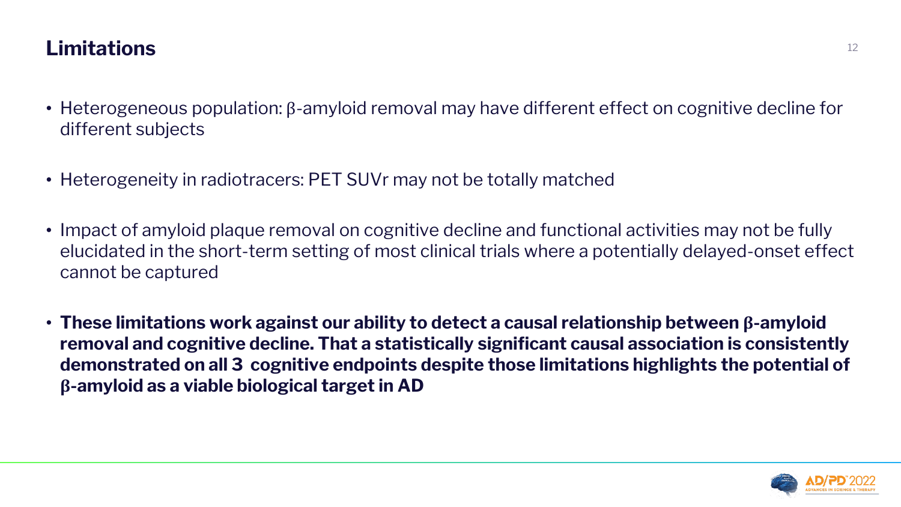### **Limitations** <sup>12</sup>

- Heterogeneous population: β-amyloid removal may have different effect on cognitive decline for different subjects
- Heterogeneity in radiotracers: PET SUVr may not be totally matched
- Impact of amyloid plaque removal on cognitive decline and functional activities may not be fully elucidated in the short-term setting of most clinical trials where a potentially delayed-onset effect cannot be captured
- **These limitations work against our ability to detect a causal relationship between β-amyloid removal and cognitive decline. That a statistically significant causal association is consistently demonstrated on all 3 cognitive endpoints despite those limitations highlights the potential of β-amyloid as a viable biological target in AD**

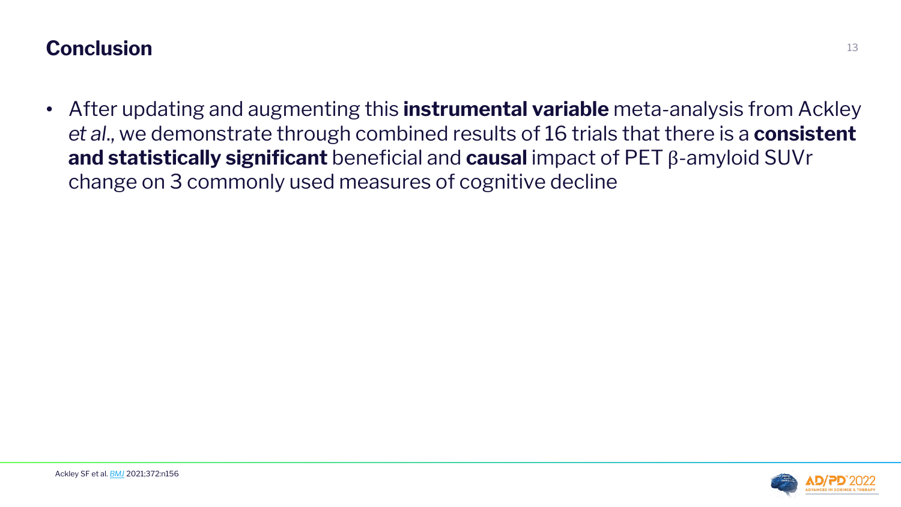## **Conclusion** <sup>13</sup>

• After updating and augmenting this **instrumental variable** meta-analysis from Ackley *et al*., we demonstrate through combined results of 16 trials that there is a **consistent and statistically significant** beneficial and **causal** impact of PET β-amyloid SUVr change on 3 commonly used measures of cognitive decline